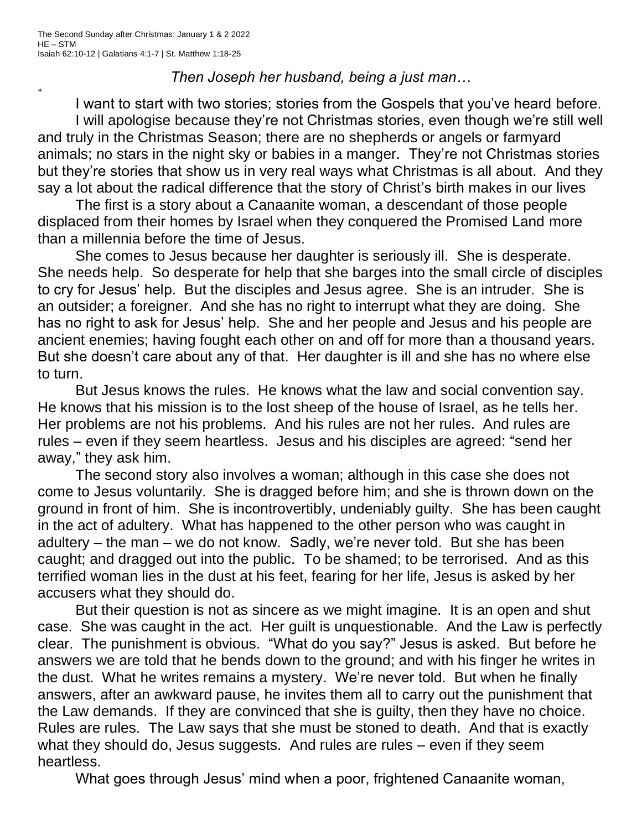+

*Then Joseph her husband, being a just man…*

I want to start with two stories; stories from the Gospels that you've heard before. I will apologise because they're not Christmas stories, even though we're still well and truly in the Christmas Season; there are no shepherds or angels or farmyard animals; no stars in the night sky or babies in a manger. They're not Christmas stories but they're stories that show us in very real ways what Christmas is all about. And they say a lot about the radical difference that the story of Christ's birth makes in our lives

The first is a story about a Canaanite woman, a descendant of those people displaced from their homes by Israel when they conquered the Promised Land more than a millennia before the time of Jesus.

She comes to Jesus because her daughter is seriously ill. She is desperate. She needs help. So desperate for help that she barges into the small circle of disciples to cry for Jesus' help. But the disciples and Jesus agree. She is an intruder. She is an outsider; a foreigner. And she has no right to interrupt what they are doing. She has no right to ask for Jesus' help. She and her people and Jesus and his people are ancient enemies; having fought each other on and off for more than a thousand years. But she doesn't care about any of that. Her daughter is ill and she has no where else to turn.

But Jesus knows the rules. He knows what the law and social convention say. He knows that his mission is to the lost sheep of the house of Israel, as he tells her. Her problems are not his problems. And his rules are not her rules. And rules are rules – even if they seem heartless. Jesus and his disciples are agreed: "send her away," they ask him.

The second story also involves a woman; although in this case she does not come to Jesus voluntarily. She is dragged before him; and she is thrown down on the ground in front of him. She is incontrovertibly, undeniably guilty. She has been caught in the act of adultery. What has happened to the other person who was caught in adultery – the man – we do not know. Sadly, we're never told. But she has been caught; and dragged out into the public. To be shamed; to be terrorised. And as this terrified woman lies in the dust at his feet, fearing for her life, Jesus is asked by her accusers what they should do.

But their question is not as sincere as we might imagine. It is an open and shut case. She was caught in the act. Her guilt is unquestionable. And the Law is perfectly clear. The punishment is obvious. "What do you say?" Jesus is asked. But before he answers we are told that he bends down to the ground; and with his finger he writes in the dust. What he writes remains a mystery. We're never told. But when he finally answers, after an awkward pause, he invites them all to carry out the punishment that the Law demands. If they are convinced that she is guilty, then they have no choice. Rules are rules. The Law says that she must be stoned to death. And that is exactly what they should do, Jesus suggests. And rules are rules – even if they seem heartless.

What goes through Jesus' mind when a poor, frightened Canaanite woman,